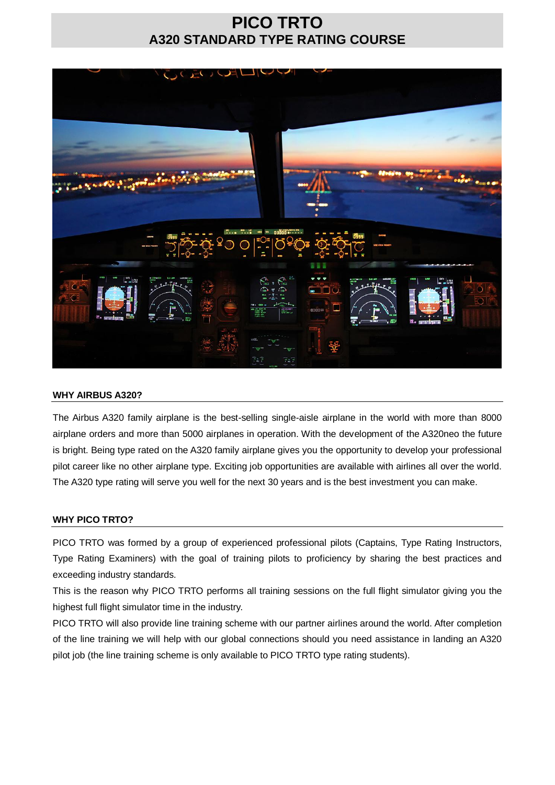## **PICO TRTO A320 STANDARD TYPE RATING COURSE**



## **WHY AIRBUS A320?**

The Airbus A320 family airplane is the best-selling single-aisle airplane in the world with more than 8000 airplane orders and more than 5000 airplanes in operation. With the development of the A320neo the future is bright. Being type rated on the A320 family airplane gives you the opportunity to develop your professional pilot career like no other airplane type. Exciting job opportunities are available with airlines all over the world. The A320 type rating will serve you well for the next 30 years and is the best investment you can make.

### **WHY PICO TRTO?**

PICO TRTO was formed by a group of experienced professional pilots (Captains, Type Rating Instructors, Type Rating Examiners) with the goal of training pilots to proficiency by sharing the best practices and exceeding industry standards.

This is the reason why PICO TRTO performs all training sessions on the full flight simulator giving you the highest full flight simulator time in the industry.

PICO TRTO will also provide line training scheme with our partner airlines around the world. After completion of the line training we will help with our global connections should you need assistance in landing an A320 pilot job (the line training scheme is only available to PICO TRTO type rating students).